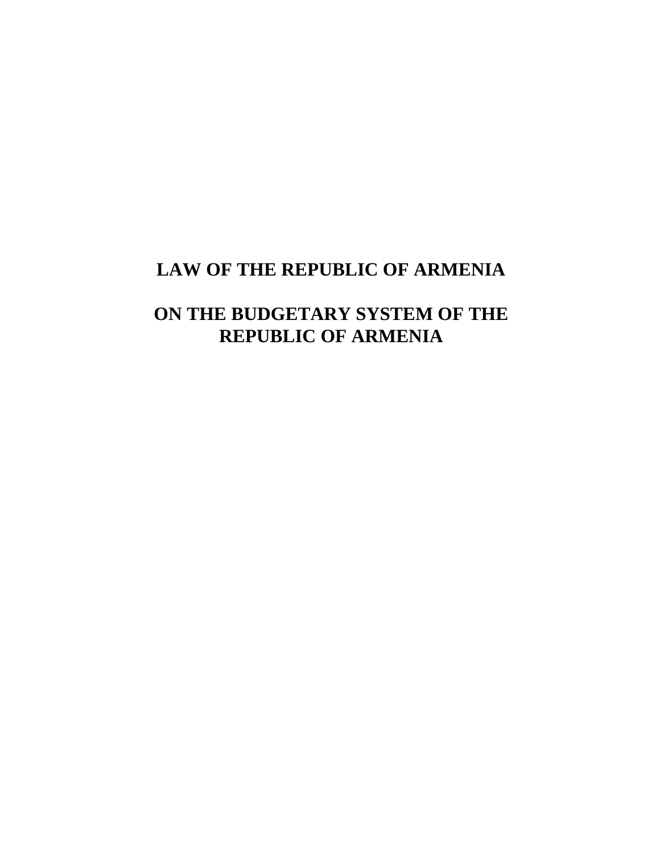# **LAW OF THE REPUBLIC OF ARMENIA**

# **ON THE BUDGETARY SYSTEM OF THE REPUBLIC OF ARMENIA**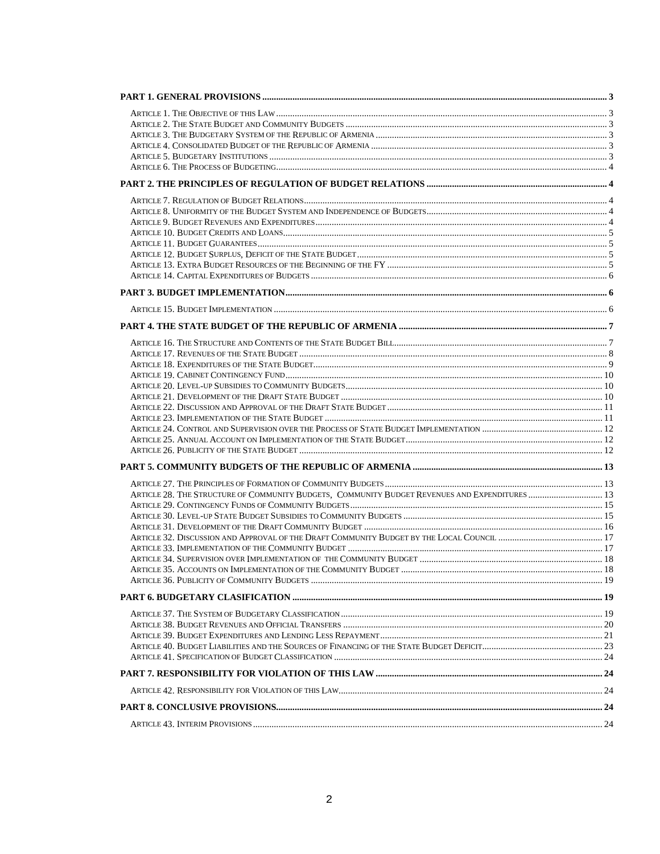| ARTICLE 28. THE STRUCTURE OF COMMUNITY BUDGETS, COMMUNITY BUDGET REVENUES AND EXPENDITURES  13 |  |
|------------------------------------------------------------------------------------------------|--|
|                                                                                                |  |
|                                                                                                |  |
|                                                                                                |  |
|                                                                                                |  |
|                                                                                                |  |
|                                                                                                |  |
|                                                                                                |  |
|                                                                                                |  |
|                                                                                                |  |
|                                                                                                |  |
|                                                                                                |  |
|                                                                                                |  |
|                                                                                                |  |
|                                                                                                |  |
|                                                                                                |  |
|                                                                                                |  |
|                                                                                                |  |
|                                                                                                |  |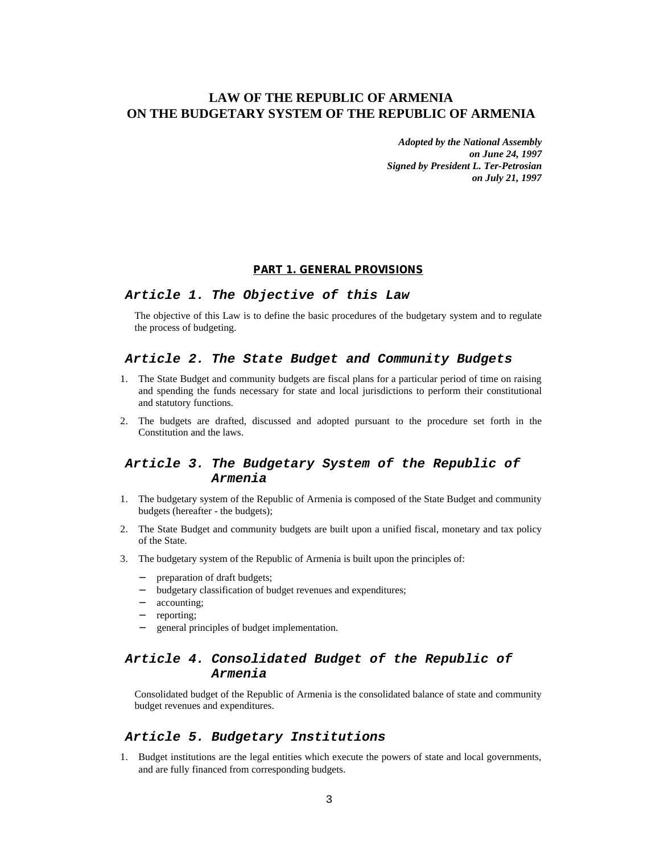# **LAW OF THE REPUBLIC OF ARMENIA ON THE BUDGETARY SYSTEM OF THE REPUBLIC OF ARMENIA**

*Adopted by the National Assembly on June 24, 1997 Signed by President L. Ter-Petrosian on July 21, 1997*

#### **PART 1. GENERAL PROVISIONS**

#### *Article 1. The Objective of this Law*

The objective of this Law is to define the basic procedures of the budgetary system and to regulate the process of budgeting.

#### *Article 2. The State Budget and Community Budgets*

- 1. The State Budget and community budgets are fiscal plans for a particular period of time on raising and spending the funds necessary for state and local jurisdictions to perform their constitutional and statutory functions.
- 2. The budgets are drafted, discussed and adopted pursuant to the procedure set forth in the Constitution and the laws.

# *Article 3. The Budgetary System of the Republic of Armenia*

- 1. The budgetary system of the Republic of Armenia is composed of the State Budget and community budgets (hereafter - the budgets);
- 2. The State Budget and community budgets are built upon a unified fiscal, monetary and tax policy of the State.
- 3. The budgetary system of the Republic of Armenia is built upon the principles of:
	- − preparation of draft budgets;
	- − budgetary classification of budget revenues and expenditures;
	- − accounting;
	- − reporting;
	- − general principles of budget implementation.

# *Article 4. Consolidated Budget of the Republic of Armenia*

Consolidated budget of the Republic of Armenia is the consolidated balance of state and community budget revenues and expenditures.

# *Article 5. Budgetary Institutions*

1. Budget institutions are the legal entities which execute the powers of state and local governments, and are fully financed from corresponding budgets.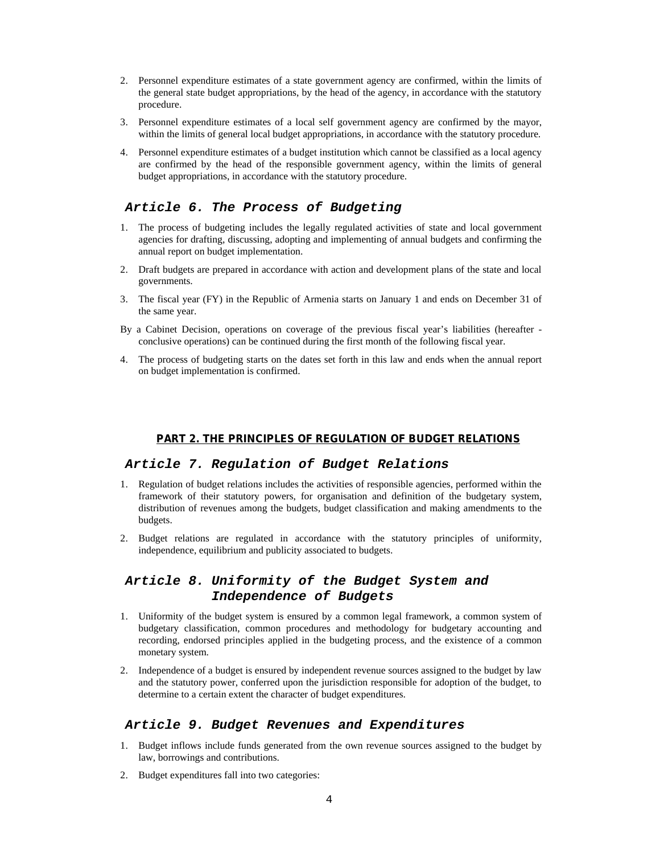- 2. Personnel expenditure estimates of a state government agency are confirmed, within the limits of the general state budget appropriations, by the head of the agency, in accordance with the statutory procedure.
- 3. Personnel expenditure estimates of a local self government agency are confirmed by the mayor, within the limits of general local budget appropriations, in accordance with the statutory procedure.
- 4. Personnel expenditure estimates of a budget institution which cannot be classified as a local agency are confirmed by the head of the responsible government agency, within the limits of general budget appropriations, in accordance with the statutory procedure.

## *Article 6. The Process of Budgeting*

- 1. The process of budgeting includes the legally regulated activities of state and local government agencies for drafting, discussing, adopting and implementing of annual budgets and confirming the annual report on budget implementation.
- 2. Draft budgets are prepared in accordance with action and development plans of the state and local governments.
- 3. The fiscal year (FY) in the Republic of Armenia starts on January 1 and ends on December 31 of the same year.
- By a Cabinet Decision, operations on coverage of the previous fiscal year's liabilities (hereafter conclusive operations) can be continued during the first month of the following fiscal year.
- 4. The process of budgeting starts on the dates set forth in this law and ends when the annual report on budget implementation is confirmed.

#### **PART 2. THE PRINCIPLES OF REGULATION OF BUDGET RELATIONS**

#### *Article 7. Regulation of Budget Relations*

- 1. Regulation of budget relations includes the activities of responsible agencies, performed within the framework of their statutory powers, for organisation and definition of the budgetary system, distribution of revenues among the budgets, budget classification and making amendments to the budgets.
- 2. Budget relations are regulated in accordance with the statutory principles of uniformity, independence, equilibrium and publicity associated to budgets.

# *Article 8. Uniformity of the Budget System and Independence of Budgets*

- 1. Uniformity of the budget system is ensured by a common legal framework, a common system of budgetary classification, common procedures and methodology for budgetary accounting and recording, endorsed principles applied in the budgeting process, and the existence of a common monetary system.
- 2. Independence of a budget is ensured by independent revenue sources assigned to the budget by law and the statutory power, conferred upon the jurisdiction responsible for adoption of the budget, to determine to a certain extent the character of budget expenditures.

#### *Article 9. Budget Revenues and Expenditures*

- 1. Budget inflows include funds generated from the own revenue sources assigned to the budget by law, borrowings and contributions.
- 2. Budget expenditures fall into two categories: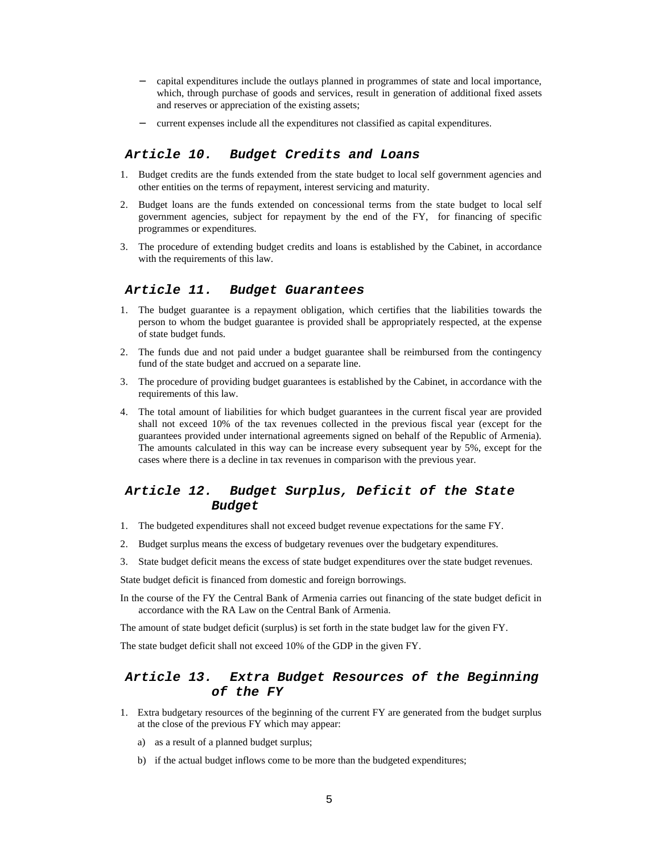- − capital expenditures include the outlays planned in programmes of state and local importance, which, through purchase of goods and services, result in generation of additional fixed assets and reserves or appreciation of the existing assets;
- current expenses include all the expenditures not classified as capital expenditures.

### *Article 10. Budget Credits and Loans*

- 1. Budget credits are the funds extended from the state budget to local self government agencies and other entities on the terms of repayment, interest servicing and maturity.
- 2. Budget loans are the funds extended on concessional terms from the state budget to local self government agencies, subject for repayment by the end of the FY, for financing of specific programmes or expenditures.
- 3. The procedure of extending budget credits and loans is established by the Cabinet, in accordance with the requirements of this law.

#### *Article 11. Budget Guarantees*

- 1. The budget guarantee is a repayment obligation, which certifies that the liabilities towards the person to whom the budget guarantee is provided shall be appropriately respected, at the expense of state budget funds.
- 2. The funds due and not paid under a budget guarantee shall be reimbursed from the contingency fund of the state budget and accrued on a separate line.
- 3. The procedure of providing budget guarantees is established by the Cabinet, in accordance with the requirements of this law.
- 4. The total amount of liabilities for which budget guarantees in the current fiscal year are provided shall not exceed 10% of the tax revenues collected in the previous fiscal year (except for the guarantees provided under international agreements signed on behalf of the Republic of Armenia). The amounts calculated in this way can be increase every subsequent year by 5%, except for the cases where there is a decline in tax revenues in comparison with the previous year.

# *Article 12. Budget Surplus, Deficit of the State Budget*

- 1. The budgeted expenditures shall not exceed budget revenue expectations for the same FY.
- 2. Budget surplus means the excess of budgetary revenues over the budgetary expenditures.
- 3. State budget deficit means the excess of state budget expenditures over the state budget revenues.

State budget deficit is financed from domestic and foreign borrowings.

In the course of the FY the Central Bank of Armenia carries out financing of the state budget deficit in accordance with the RA Law on the Central Bank of Armenia.

The amount of state budget deficit (surplus) is set forth in the state budget law for the given FY.

The state budget deficit shall not exceed 10% of the GDP in the given FY.

## *Article 13. Extra Budget Resources of the Beginning of the FY*

- 1. Extra budgetary resources of the beginning of the current FY are generated from the budget surplus at the close of the previous FY which may appear:
	- a) as a result of a planned budget surplus;
	- b) if the actual budget inflows come to be more than the budgeted expenditures;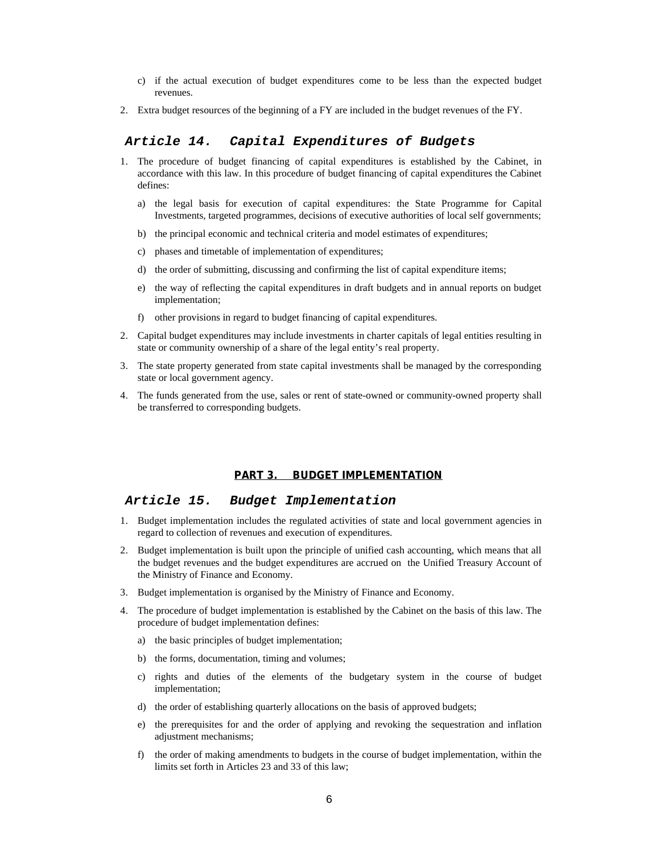- c) if the actual execution of budget expenditures come to be less than the expected budget revenues.
- 2. Extra budget resources of the beginning of a FY are included in the budget revenues of the FY.

## *Article 14. Capital Expenditures of Budgets*

- 1. The procedure of budget financing of capital expenditures is established by the Cabinet, in accordance with this law. In this procedure of budget financing of capital expenditures the Cabinet defines:
	- a) the legal basis for execution of capital expenditures: the State Programme for Capital Investments, targeted programmes, decisions of executive authorities of local self governments;
	- b) the principal economic and technical criteria and model estimates of expenditures;
	- c) phases and timetable of implementation of expenditures;
	- d) the order of submitting, discussing and confirming the list of capital expenditure items;
	- e) the way of reflecting the capital expenditures in draft budgets and in annual reports on budget implementation;
	- f) other provisions in regard to budget financing of capital expenditures.
- 2. Capital budget expenditures may include investments in charter capitals of legal entities resulting in state or community ownership of a share of the legal entity's real property.
- 3. The state property generated from state capital investments shall be managed by the corresponding state or local government agency.
- 4. The funds generated from the use, sales or rent of state-owned or community-owned property shall be transferred to corresponding budgets.

#### **PART 3. BUDGET IMPLEMENTATION**

#### *Article 15. Budget Implementation*

- 1. Budget implementation includes the regulated activities of state and local government agencies in regard to collection of revenues and execution of expenditures.
- 2. Budget implementation is built upon the principle of unified cash accounting, which means that all the budget revenues and the budget expenditures are accrued on the Unified Treasury Account of the Ministry of Finance and Economy.
- 3. Budget implementation is organised by the Ministry of Finance and Economy.
- 4. The procedure of budget implementation is established by the Cabinet on the basis of this law. The procedure of budget implementation defines:
	- a) the basic principles of budget implementation;
	- b) the forms, documentation, timing and volumes;
	- c) rights and duties of the elements of the budgetary system in the course of budget implementation;
	- d) the order of establishing quarterly allocations on the basis of approved budgets;
	- e) the prerequisites for and the order of applying and revoking the sequestration and inflation adjustment mechanisms;
	- f) the order of making amendments to budgets in the course of budget implementation, within the limits set forth in Articles 23 and 33 of this law;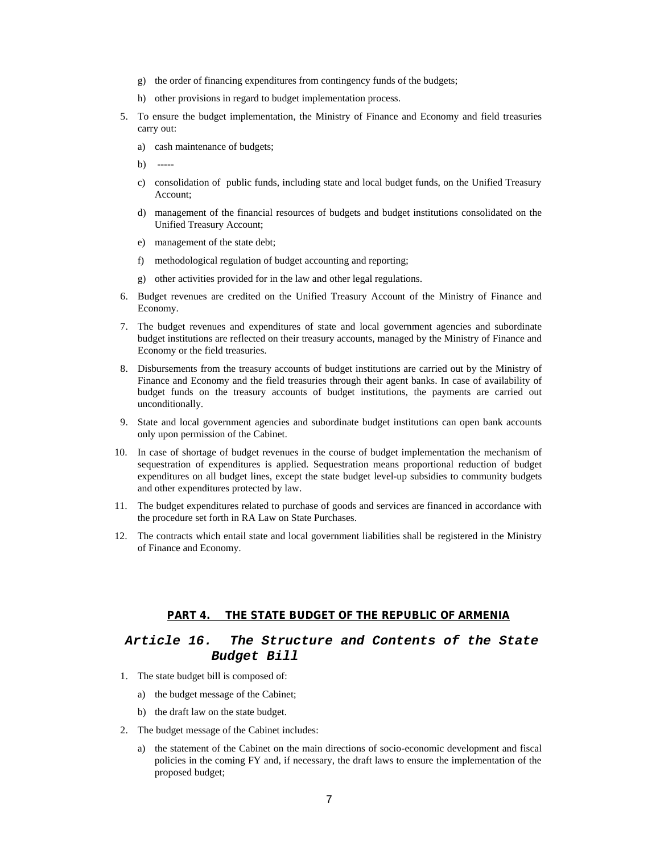- g) the order of financing expenditures from contingency funds of the budgets;
- h) other provisions in regard to budget implementation process.
- 5. To ensure the budget implementation, the Ministry of Finance and Economy and field treasuries carry out:
	- a) cash maintenance of budgets;
	- $b)$
	- c) consolidation of public funds, including state and local budget funds, on the Unified Treasury Account;
	- d) management of the financial resources of budgets and budget institutions consolidated on the Unified Treasury Account;
	- e) management of the state debt;
	- f) methodological regulation of budget accounting and reporting;
	- g) other activities provided for in the law and other legal regulations.
- 6. Budget revenues are credited on the Unified Treasury Account of the Ministry of Finance and Economy.
- 7. The budget revenues and expenditures of state and local government agencies and subordinate budget institutions are reflected on their treasury accounts, managed by the Ministry of Finance and Economy or the field treasuries.
- 8. Disbursements from the treasury accounts of budget institutions are carried out by the Ministry of Finance and Economy and the field treasuries through their agent banks. In case of availability of budget funds on the treasury accounts of budget institutions, the payments are carried out unconditionally.
- 9. State and local government agencies and subordinate budget institutions can open bank accounts only upon permission of the Cabinet.
- 10. In case of shortage of budget revenues in the course of budget implementation the mechanism of sequestration of expenditures is applied. Sequestration means proportional reduction of budget expenditures on all budget lines, except the state budget level-up subsidies to community budgets and other expenditures protected by law.
- 11. The budget expenditures related to purchase of goods and services are financed in accordance with the procedure set forth in RA Law on State Purchases.
- 12. The contracts which entail state and local government liabilities shall be registered in the Ministry of Finance and Economy.

#### **PART 4. THE STATE BUDGET OF THE REPUBLIC OF ARMENIA**

# *Article 16. The Structure and Contents of the State Budget Bill*

- 1. The state budget bill is composed of:
	- a) the budget message of the Cabinet;
	- b) the draft law on the state budget.
- 2. The budget message of the Cabinet includes:
	- a) the statement of the Cabinet on the main directions of socio-economic development and fiscal policies in the coming FY and, if necessary, the draft laws to ensure the implementation of the proposed budget;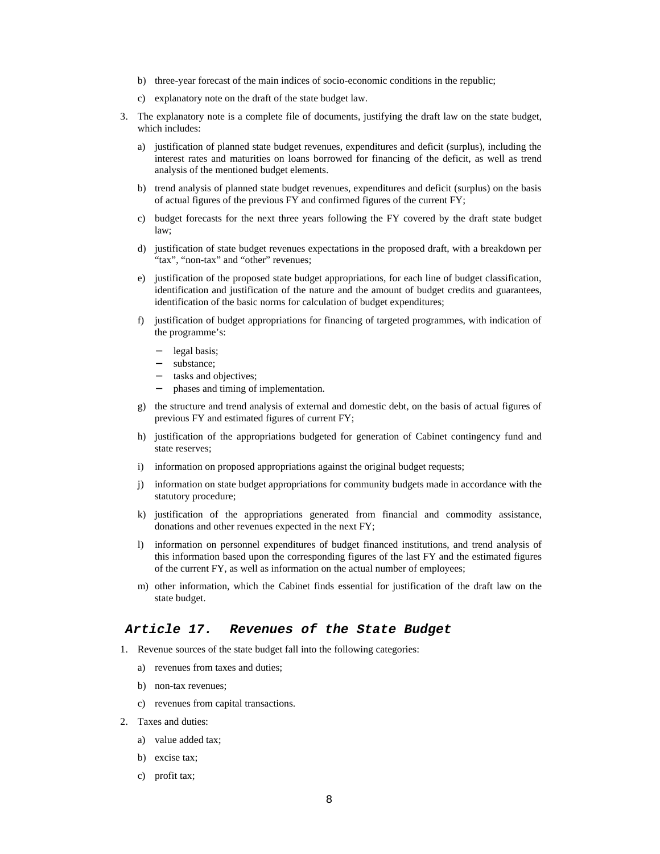- b) three-year forecast of the main indices of socio-economic conditions in the republic;
- c) explanatory note on the draft of the state budget law.
- 3. The explanatory note is a complete file of documents, justifying the draft law on the state budget, which includes:
	- a) justification of planned state budget revenues, expenditures and deficit (surplus), including the interest rates and maturities on loans borrowed for financing of the deficit, as well as trend analysis of the mentioned budget elements.
	- b) trend analysis of planned state budget revenues, expenditures and deficit (surplus) on the basis of actual figures of the previous FY and confirmed figures of the current FY;
	- c) budget forecasts for the next three years following the FY covered by the draft state budget law;
	- d) justification of state budget revenues expectations in the proposed draft, with a breakdown per "tax", "non-tax" and "other" revenues;
	- e) justification of the proposed state budget appropriations, for each line of budget classification, identification and justification of the nature and the amount of budget credits and guarantees, identification of the basic norms for calculation of budget expenditures;
	- f) justification of budget appropriations for financing of targeted programmes, with indication of the programme's:
		- legal basis;
		- substance;
		- tasks and objectives:
		- − phases and timing of implementation.
	- g) the structure and trend analysis of external and domestic debt, on the basis of actual figures of previous FY and estimated figures of current FY;
	- h) justification of the appropriations budgeted for generation of Cabinet contingency fund and state reserves;
	- i) information on proposed appropriations against the original budget requests;
	- j) information on state budget appropriations for community budgets made in accordance with the statutory procedure;
	- k) justification of the appropriations generated from financial and commodity assistance, donations and other revenues expected in the next FY;
	- l) information on personnel expenditures of budget financed institutions, and trend analysis of this information based upon the corresponding figures of the last FY and the estimated figures of the current FY, as well as information on the actual number of employees;
	- m) other information, which the Cabinet finds essential for justification of the draft law on the state budget.

#### *Article 17. Revenues of the State Budget*

- 1. Revenue sources of the state budget fall into the following categories:
	- a) revenues from taxes and duties;
	- b) non-tax revenues;
	- c) revenues from capital transactions.
- 2. Taxes and duties:
	- a) value added tax;
	- b) excise tax;
	- c) profit tax;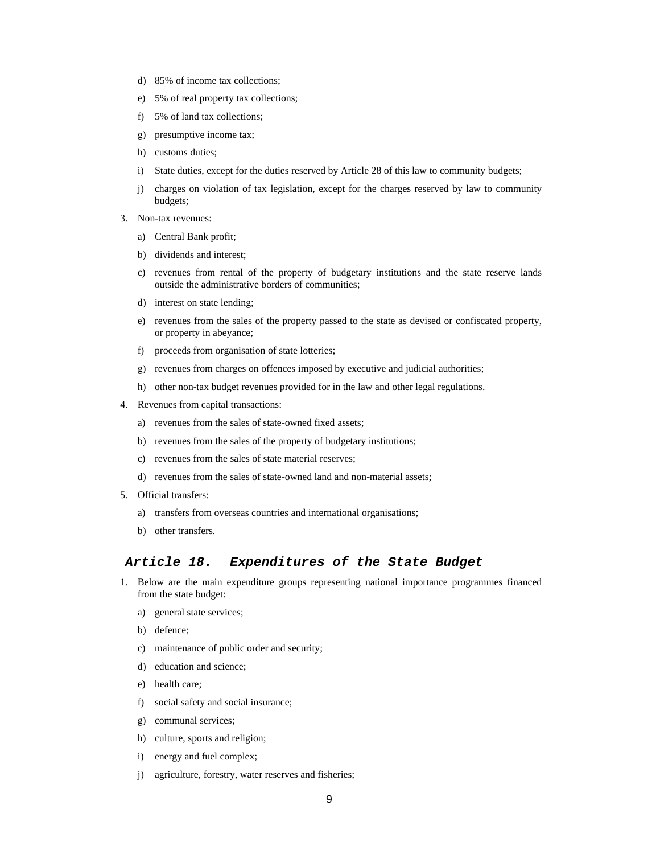- d) 85% of income tax collections;
- e) 5% of real property tax collections;
- f) 5% of land tax collections;
- g) presumptive income tax;
- h) customs duties;
- i) State duties, except for the duties reserved by Article 28 of this law to community budgets;
- j) charges on violation of tax legislation, except for the charges reserved by law to community budgets;
- 3. Non-tax revenues:
	- a) Central Bank profit;
	- b) dividends and interest;
	- c) revenues from rental of the property of budgetary institutions and the state reserve lands outside the administrative borders of communities;
	- d) interest on state lending;
	- e) revenues from the sales of the property passed to the state as devised or confiscated property, or property in abeyance;
	- f) proceeds from organisation of state lotteries;
	- g) revenues from charges on offences imposed by executive and judicial authorities;
	- h) other non-tax budget revenues provided for in the law and other legal regulations.
- 4. Revenues from capital transactions:
	- a) revenues from the sales of state-owned fixed assets;
	- b) revenues from the sales of the property of budgetary institutions;
	- c) revenues from the sales of state material reserves;
	- d) revenues from the sales of state-owned land and non-material assets;
- 5. Official transfers:
	- a) transfers from overseas countries and international organisations;
	- b) other transfers.

#### *Article 18. Expenditures of the State Budget*

- 1. Below are the main expenditure groups representing national importance programmes financed from the state budget:
	- a) general state services;
	- b) defence;
	- c) maintenance of public order and security;
	- d) education and science;
	- e) health care;
	- f) social safety and social insurance;
	- g) communal services;
	- h) culture, sports and religion;
	- i) energy and fuel complex;
	- j) agriculture, forestry, water reserves and fisheries;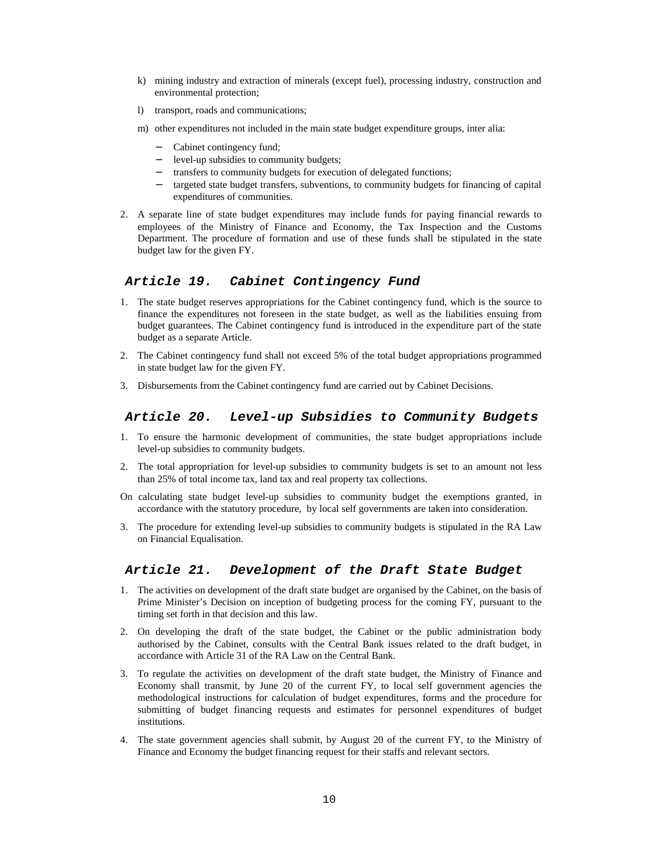- k) mining industry and extraction of minerals (except fuel), processing industry, construction and environmental protection;
- l) transport, roads and communications;
- m) other expenditures not included in the main state budget expenditure groups, inter alia:
	- − Cabinet contingency fund;
	- − level-up subsidies to community budgets;
	- transfers to community budgets for execution of delegated functions;
	- − targeted state budget transfers, subventions, to community budgets for financing of capital expenditures of communities.
- 2. A separate line of state budget expenditures may include funds for paying financial rewards to employees of the Ministry of Finance and Economy, the Tax Inspection and the Customs Department. The procedure of formation and use of these funds shall be stipulated in the state budget law for the given FY.

#### *Article 19. Cabinet Contingency Fund*

- 1. The state budget reserves appropriations for the Cabinet contingency fund, which is the source to finance the expenditures not foreseen in the state budget, as well as the liabilities ensuing from budget guarantees. The Cabinet contingency fund is introduced in the expenditure part of the state budget as a separate Article.
- 2. The Cabinet contingency fund shall not exceed 5% of the total budget appropriations programmed in state budget law for the given FY.
- 3. Disbursements from the Cabinet contingency fund are carried out by Cabinet Decisions.

#### *Article 20. Level-up Subsidies to Community Budgets*

- 1. To ensure the harmonic development of communities, the state budget appropriations include level-up subsidies to community budgets.
- 2. The total appropriation for level-up subsidies to community budgets is set to an amount not less than 25% of total income tax, land tax and real property tax collections.
- On calculating state budget level-up subsidies to community budget the exemptions granted, in accordance with the statutory procedure, by local self governments are taken into consideration.
- 3. The procedure for extending level-up subsidies to community budgets is stipulated in the RA Law on Financial Equalisation.

#### *Article 21. Development of the Draft State Budget*

- 1. The activities on development of the draft state budget are organised by the Cabinet, on the basis of Prime Minister's Decision on inception of budgeting process for the coming FY, pursuant to the timing set forth in that decision and this law.
- 2. On developing the draft of the state budget, the Cabinet or the public administration body authorised by the Cabinet, consults with the Central Bank issues related to the draft budget, in accordance with Article 31 of the RA Law on the Central Bank.
- 3. To regulate the activities on development of the draft state budget, the Ministry of Finance and Economy shall transmit, by June 20 of the current FY, to local self government agencies the methodological instructions for calculation of budget expenditures, forms and the procedure for submitting of budget financing requests and estimates for personnel expenditures of budget institutions.
- 4. The state government agencies shall submit, by August 20 of the current FY, to the Ministry of Finance and Economy the budget financing request for their staffs and relevant sectors.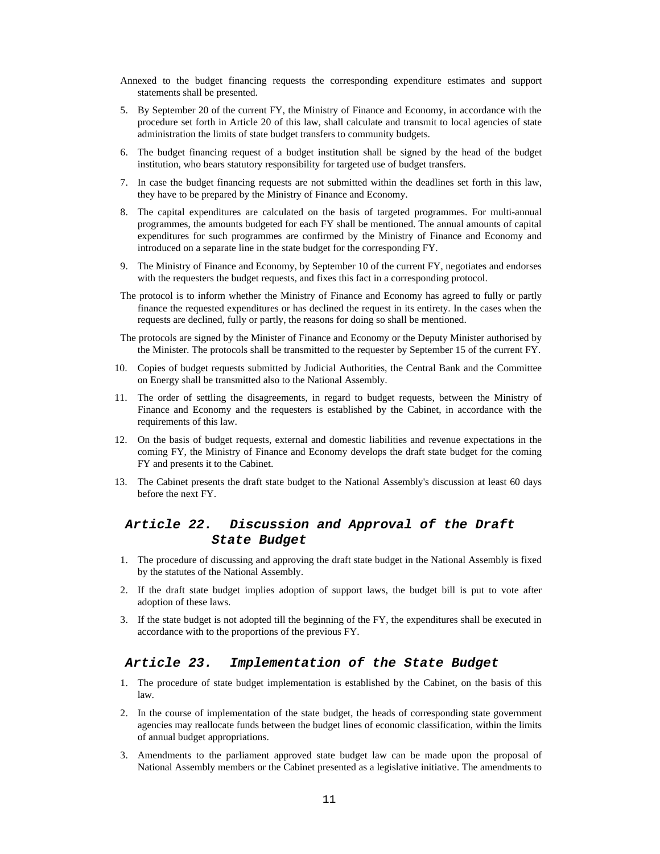- Annexed to the budget financing requests the corresponding expenditure estimates and support statements shall be presented.
- 5. By September 20 of the current FY, the Ministry of Finance and Economy, in accordance with the procedure set forth in Article 20 of this law, shall calculate and transmit to local agencies of state administration the limits of state budget transfers to community budgets.
- 6. The budget financing request of a budget institution shall be signed by the head of the budget institution, who bears statutory responsibility for targeted use of budget transfers.
- 7. In case the budget financing requests are not submitted within the deadlines set forth in this law, they have to be prepared by the Ministry of Finance and Economy.
- 8. The capital expenditures are calculated on the basis of targeted programmes. For multi-annual programmes, the amounts budgeted for each FY shall be mentioned. The annual amounts of capital expenditures for such programmes are confirmed by the Ministry of Finance and Economy and introduced on a separate line in the state budget for the corresponding FY.
- 9. The Ministry of Finance and Economy, by September 10 of the current FY, negotiates and endorses with the requesters the budget requests, and fixes this fact in a corresponding protocol.
- The protocol is to inform whether the Ministry of Finance and Economy has agreed to fully or partly finance the requested expenditures or has declined the request in its entirety. In the cases when the requests are declined, fully or partly, the reasons for doing so shall be mentioned.
- The protocols are signed by the Minister of Finance and Economy or the Deputy Minister authorised by the Minister. The protocols shall be transmitted to the requester by September 15 of the current FY.
- 10. Copies of budget requests submitted by Judicial Authorities, the Central Bank and the Committee on Energy shall be transmitted also to the National Assembly.
- 11. The order of settling the disagreements, in regard to budget requests, between the Ministry of Finance and Economy and the requesters is established by the Cabinet, in accordance with the requirements of this law.
- 12. On the basis of budget requests, external and domestic liabilities and revenue expectations in the coming FY, the Ministry of Finance and Economy develops the draft state budget for the coming FY and presents it to the Cabinet.
- 13. The Cabinet presents the draft state budget to the National Assembly's discussion at least 60 days before the next FY.

# *Article 22. Discussion and Approval of the Draft State Budget*

- 1. The procedure of discussing and approving the draft state budget in the National Assembly is fixed by the statutes of the National Assembly.
- 2. If the draft state budget implies adoption of support laws, the budget bill is put to vote after adoption of these laws.
- 3. If the state budget is not adopted till the beginning of the FY, the expenditures shall be executed in accordance with to the proportions of the previous FY.

# *Article 23. Implementation of the State Budget*

- 1. The procedure of state budget implementation is established by the Cabinet, on the basis of this law.
- 2. In the course of implementation of the state budget, the heads of corresponding state government agencies may reallocate funds between the budget lines of economic classification, within the limits of annual budget appropriations.
- 3. Amendments to the parliament approved state budget law can be made upon the proposal of National Assembly members or the Cabinet presented as a legislative initiative. The amendments to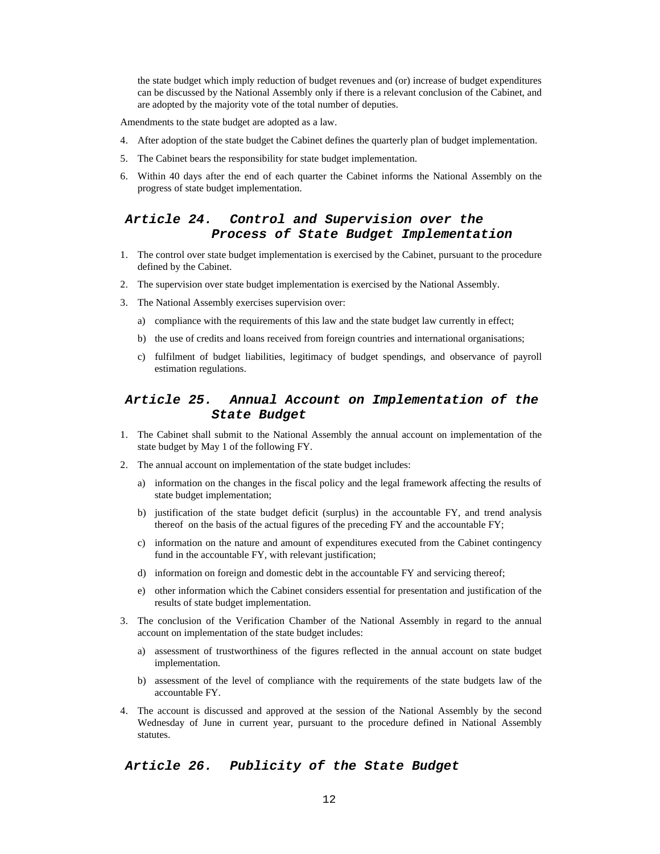the state budget which imply reduction of budget revenues and (or) increase of budget expenditures can be discussed by the National Assembly only if there is a relevant conclusion of the Cabinet, and are adopted by the majority vote of the total number of deputies.

Amendments to the state budget are adopted as a law.

- 4. After adoption of the state budget the Cabinet defines the quarterly plan of budget implementation.
- 5. The Cabinet bears the responsibility for state budget implementation.
- 6. Within 40 days after the end of each quarter the Cabinet informs the National Assembly on the progress of state budget implementation.

# *Article 24. Control and Supervision over the Process of State Budget Implementation*

- 1. The control over state budget implementation is exercised by the Cabinet, pursuant to the procedure defined by the Cabinet.
- 2. The supervision over state budget implementation is exercised by the National Assembly.
- 3. The National Assembly exercises supervision over:
	- a) compliance with the requirements of this law and the state budget law currently in effect;
	- b) the use of credits and loans received from foreign countries and international organisations;
	- c) fulfilment of budget liabilities, legitimacy of budget spendings, and observance of payroll estimation regulations.

# *Article 25. Annual Account on Implementation of the State Budget*

- 1. The Cabinet shall submit to the National Assembly the annual account on implementation of the state budget by May 1 of the following FY.
- 2. The annual account on implementation of the state budget includes:
	- a) information on the changes in the fiscal policy and the legal framework affecting the results of state budget implementation;
	- b) justification of the state budget deficit (surplus) in the accountable FY, and trend analysis thereof on the basis of the actual figures of the preceding FY and the accountable FY;
	- c) information on the nature and amount of expenditures executed from the Cabinet contingency fund in the accountable FY, with relevant justification;
	- d) information on foreign and domestic debt in the accountable FY and servicing thereof;
	- e) other information which the Cabinet considers essential for presentation and justification of the results of state budget implementation.
- 3. The conclusion of the Verification Chamber of the National Assembly in regard to the annual account on implementation of the state budget includes:
	- a) assessment of trustworthiness of the figures reflected in the annual account on state budget implementation.
	- b) assessment of the level of compliance with the requirements of the state budgets law of the accountable FY.
- 4. The account is discussed and approved at the session of the National Assembly by the second Wednesday of June in current year, pursuant to the procedure defined in National Assembly statutes.

#### *Article 26. Publicity of the State Budget*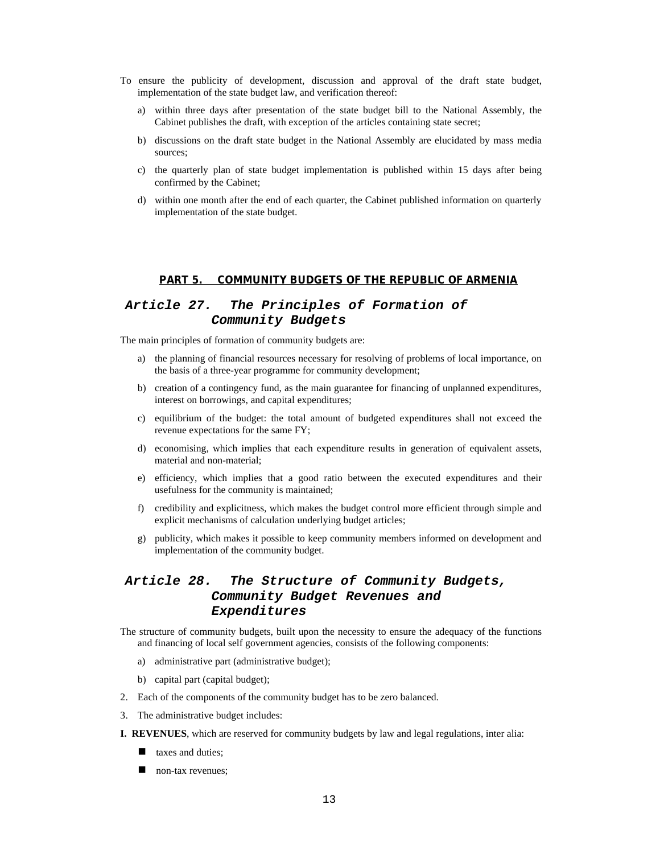- To ensure the publicity of development, discussion and approval of the draft state budget, implementation of the state budget law, and verification thereof:
	- a) within three days after presentation of the state budget bill to the National Assembly, the Cabinet publishes the draft, with exception of the articles containing state secret;
	- b) discussions on the draft state budget in the National Assembly are elucidated by mass media sources;
	- c) the quarterly plan of state budget implementation is published within 15 days after being confirmed by the Cabinet;
	- d) within one month after the end of each quarter, the Cabinet published information on quarterly implementation of the state budget.

#### **PART 5. COMMUNITY BUDGETS OF THE REPUBLIC OF ARMENIA**

# *Article 27. The Principles of Formation of Community Budgets*

The main principles of formation of community budgets are:

- a) the planning of financial resources necessary for resolving of problems of local importance, on the basis of a three-year programme for community development;
- b) creation of a contingency fund, as the main guarantee for financing of unplanned expenditures, interest on borrowings, and capital expenditures;
- c) equilibrium of the budget: the total amount of budgeted expenditures shall not exceed the revenue expectations for the same FY;
- d) economising, which implies that each expenditure results in generation of equivalent assets, material and non-material;
- e) efficiency, which implies that a good ratio between the executed expenditures and their usefulness for the community is maintained;
- f) credibility and explicitness, which makes the budget control more efficient through simple and explicit mechanisms of calculation underlying budget articles;
- g) publicity, which makes it possible to keep community members informed on development and implementation of the community budget.

# *Article 28. The Structure of Community Budgets, Community Budget Revenues and Expenditures*

The structure of community budgets, built upon the necessity to ensure the adequacy of the functions and financing of local self government agencies, consists of the following components:

- a) administrative part (administrative budget);
- b) capital part (capital budget);
- 2. Each of the components of the community budget has to be zero balanced.
- 3. The administrative budget includes:
- **I. REVENUES**, which are reserved for community budgets by law and legal regulations, inter alia:
	- ullet taxes and duties;
	- $\blacksquare$  non-tax revenues;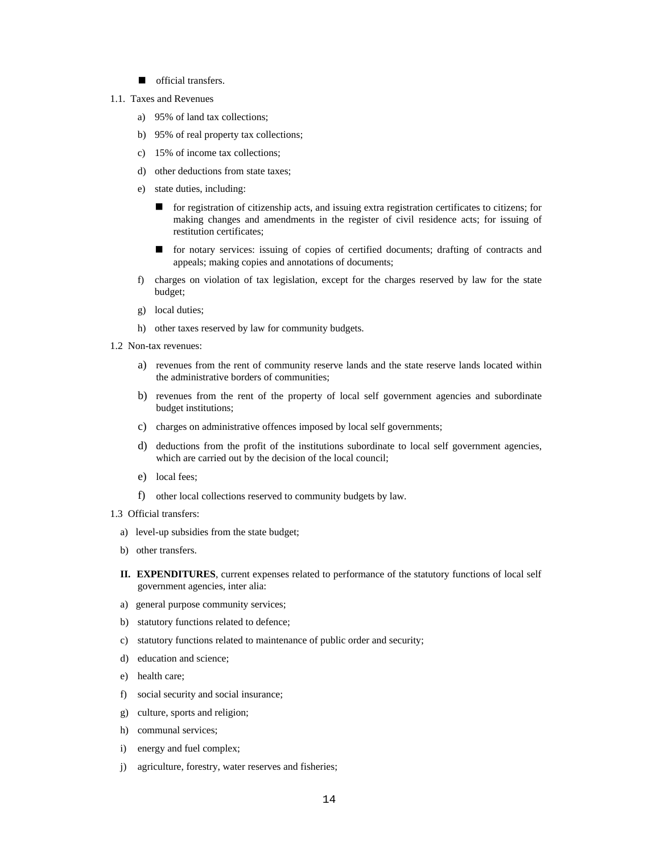- n official transfers.
- 1.1. Taxes and Revenues
	- a) 95% of land tax collections;
	- b) 95% of real property tax collections;
	- c) 15% of income tax collections;
	- d) other deductions from state taxes;
	- e) state duties, including:
		- for registration of citizenship acts, and issuing extra registration certificates to citizens; for making changes and amendments in the register of civil residence acts; for issuing of restitution certificates;
		- n for notary services: issuing of copies of certified documents; drafting of contracts and appeals; making copies and annotations of documents;
	- f) charges on violation of tax legislation, except for the charges reserved by law for the state budget;
	- g) local duties;
	- h) other taxes reserved by law for community budgets.
- 1.2 Non-tax revenues:
	- a) revenues from the rent of community reserve lands and the state reserve lands located within the administrative borders of communities;
	- b) revenues from the rent of the property of local self government agencies and subordinate budget institutions;
	- c) charges on administrative offences imposed by local self governments;
	- d) deductions from the profit of the institutions subordinate to local self government agencies, which are carried out by the decision of the local council;
	- e) local fees;
	- f) other local collections reserved to community budgets by law.
- 1.3 Official transfers:
	- a) level-up subsidies from the state budget;
	- b) other transfers.
	- **II. EXPENDITURES**, current expenses related to performance of the statutory functions of local self government agencies, inter alia:
	- a) general purpose community services;
	- b) statutory functions related to defence;
	- c) statutory functions related to maintenance of public order and security;
	- d) education and science;
	- e) health care;
	- f) social security and social insurance;
	- g) culture, sports and religion;
	- h) communal services;
	- i) energy and fuel complex;
	- j) agriculture, forestry, water reserves and fisheries;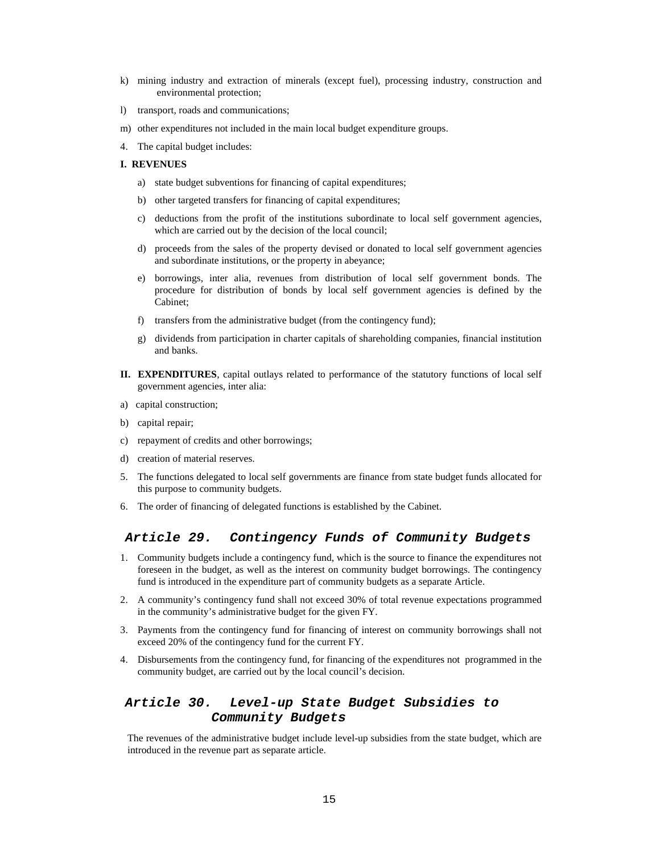- k) mining industry and extraction of minerals (except fuel), processing industry, construction and environmental protection;
- l) transport, roads and communications;
- m) other expenditures not included in the main local budget expenditure groups.
- 4. The capital budget includes:

#### **I. REVENUES**

- a) state budget subventions for financing of capital expenditures;
- b) other targeted transfers for financing of capital expenditures;
- c) deductions from the profit of the institutions subordinate to local self government agencies, which are carried out by the decision of the local council;
- d) proceeds from the sales of the property devised or donated to local self government agencies and subordinate institutions, or the property in abeyance;
- e) borrowings, inter alia, revenues from distribution of local self government bonds. The procedure for distribution of bonds by local self government agencies is defined by the Cabinet;
- f) transfers from the administrative budget (from the contingency fund);
- g) dividends from participation in charter capitals of shareholding companies, financial institution and banks.
- **II. EXPENDITURES**, capital outlays related to performance of the statutory functions of local self government agencies, inter alia:
- a) capital construction;
- b) capital repair;
- c) repayment of credits and other borrowings;
- d) creation of material reserves.
- 5. The functions delegated to local self governments are finance from state budget funds allocated for this purpose to community budgets.
- 6. The order of financing of delegated functions is established by the Cabinet.

#### *Article 29. Contingency Funds of Community Budgets*

- 1. Community budgets include a contingency fund, which is the source to finance the expenditures not foreseen in the budget, as well as the interest on community budget borrowings. The contingency fund is introduced in the expenditure part of community budgets as a separate Article.
- 2. A community's contingency fund shall not exceed 30% of total revenue expectations programmed in the community's administrative budget for the given FY.
- 3. Payments from the contingency fund for financing of interest on community borrowings shall not exceed 20% of the contingency fund for the current FY.
- 4. Disbursements from the contingency fund, for financing of the expenditures not programmed in the community budget, are carried out by the local council's decision.

# *Article 30. Level-up State Budget Subsidies to Community Budgets*

The revenues of the administrative budget include level-up subsidies from the state budget, which are introduced in the revenue part as separate article.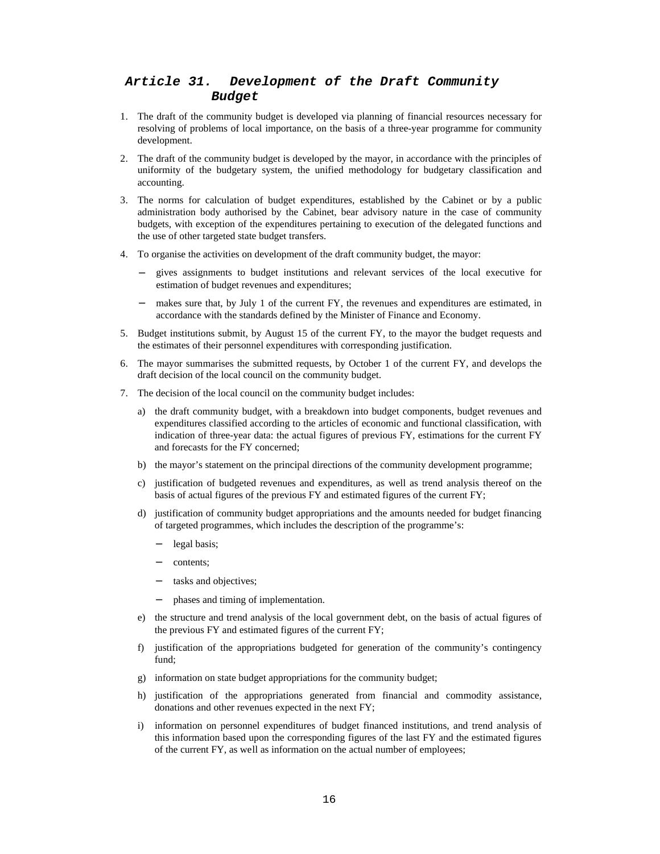# *Article 31. Development of the Draft Community Budget*

- 1. The draft of the community budget is developed via planning of financial resources necessary for resolving of problems of local importance, on the basis of a three-year programme for community development.
- 2. The draft of the community budget is developed by the mayor, in accordance with the principles of uniformity of the budgetary system, the unified methodology for budgetary classification and accounting.
- 3. The norms for calculation of budget expenditures, established by the Cabinet or by a public administration body authorised by the Cabinet, bear advisory nature in the case of community budgets, with exception of the expenditures pertaining to execution of the delegated functions and the use of other targeted state budget transfers.
- 4. To organise the activities on development of the draft community budget, the mayor:
	- − gives assignments to budget institutions and relevant services of the local executive for estimation of budget revenues and expenditures;
	- − makes sure that, by July 1 of the current FY, the revenues and expenditures are estimated, in accordance with the standards defined by the Minister of Finance and Economy.
- 5. Budget institutions submit, by August 15 of the current FY, to the mayor the budget requests and the estimates of their personnel expenditures with corresponding justification.
- 6. The mayor summarises the submitted requests, by October 1 of the current FY, and develops the draft decision of the local council on the community budget.
- 7. The decision of the local council on the community budget includes:
	- a) the draft community budget, with a breakdown into budget components, budget revenues and expenditures classified according to the articles of economic and functional classification, with indication of three-year data: the actual figures of previous FY, estimations for the current FY and forecasts for the FY concerned;
	- b) the mayor's statement on the principal directions of the community development programme;
	- c) justification of budgeted revenues and expenditures, as well as trend analysis thereof on the basis of actual figures of the previous FY and estimated figures of the current FY;
	- d) justification of community budget appropriations and the amounts needed for budget financing of targeted programmes, which includes the description of the programme's:
		- legal basis;
		- contents;
		- tasks and objectives;
		- − phases and timing of implementation.
	- e) the structure and trend analysis of the local government debt, on the basis of actual figures of the previous FY and estimated figures of the current FY;
	- f) justification of the appropriations budgeted for generation of the community's contingency fund;
	- g) information on state budget appropriations for the community budget;
	- h) justification of the appropriations generated from financial and commodity assistance, donations and other revenues expected in the next FY;
	- i) information on personnel expenditures of budget financed institutions, and trend analysis of this information based upon the corresponding figures of the last FY and the estimated figures of the current FY, as well as information on the actual number of employees;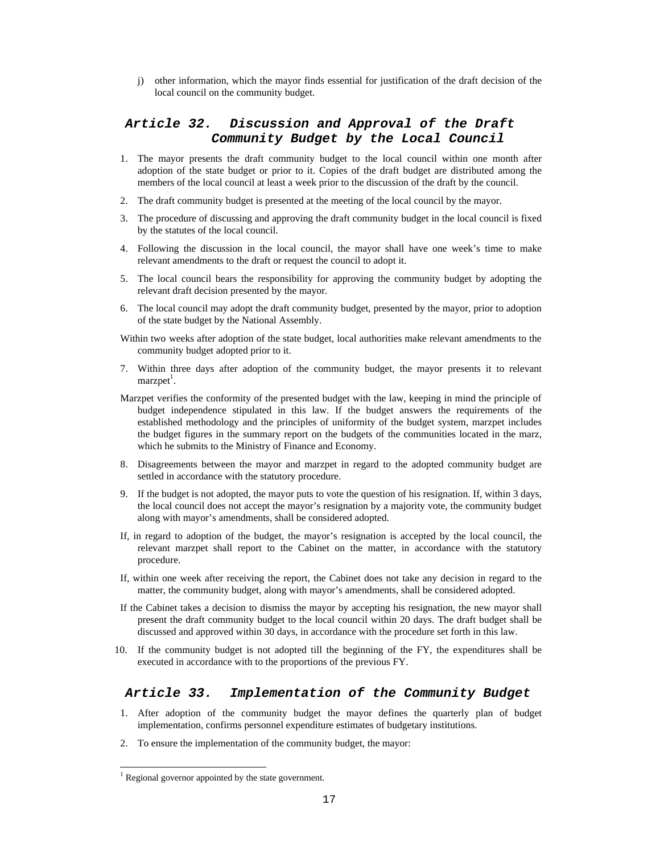j) other information, which the mayor finds essential for justification of the draft decision of the local council on the community budget.

# *Article 32. Discussion and Approval of the Draft Community Budget by the Local Council*

- 1. The mayor presents the draft community budget to the local council within one month after adoption of the state budget or prior to it. Copies of the draft budget are distributed among the members of the local council at least a week prior to the discussion of the draft by the council.
- 2. The draft community budget is presented at the meeting of the local council by the mayor.
- 3. The procedure of discussing and approving the draft community budget in the local council is fixed by the statutes of the local council.
- 4. Following the discussion in the local council, the mayor shall have one week's time to make relevant amendments to the draft or request the council to adopt it.
- 5. The local council bears the responsibility for approving the community budget by adopting the relevant draft decision presented by the mayor.
- 6. The local council may adopt the draft community budget, presented by the mayor, prior to adoption of the state budget by the National Assembly.
- Within two weeks after adoption of the state budget, local authorities make relevant amendments to the community budget adopted prior to it.
- 7. Within three days after adoption of the community budget, the mayor presents it to relevant marzpet<sup>1</sup>.
- Marzpet verifies the conformity of the presented budget with the law, keeping in mind the principle of budget independence stipulated in this law. If the budget answers the requirements of the established methodology and the principles of uniformity of the budget system, marzpet includes the budget figures in the summary report on the budgets of the communities located in the marz, which he submits to the Ministry of Finance and Economy.
- 8. Disagreements between the mayor and marzpet in regard to the adopted community budget are settled in accordance with the statutory procedure.
- 9. If the budget is not adopted, the mayor puts to vote the question of his resignation. If, within 3 days, the local council does not accept the mayor's resignation by a majority vote, the community budget along with mayor's amendments, shall be considered adopted.
- If, in regard to adoption of the budget, the mayor's resignation is accepted by the local council, the relevant marzpet shall report to the Cabinet on the matter, in accordance with the statutory procedure.
- If, within one week after receiving the report, the Cabinet does not take any decision in regard to the matter, the community budget, along with mayor's amendments, shall be considered adopted.
- If the Cabinet takes a decision to dismiss the mayor by accepting his resignation, the new mayor shall present the draft community budget to the local council within 20 days. The draft budget shall be discussed and approved within 30 days, in accordance with the procedure set forth in this law.
- 10. If the community budget is not adopted till the beginning of the FY, the expenditures shall be executed in accordance with to the proportions of the previous FY.

## *Article 33. Implementation of the Community Budget*

- 1. After adoption of the community budget the mayor defines the quarterly plan of budget implementation, confirms personnel expenditure estimates of budgetary institutions.
- 2. To ensure the implementation of the community budget, the mayor:

 $\overline{a}$ 

<sup>&</sup>lt;sup>1</sup> Regional governor appointed by the state government.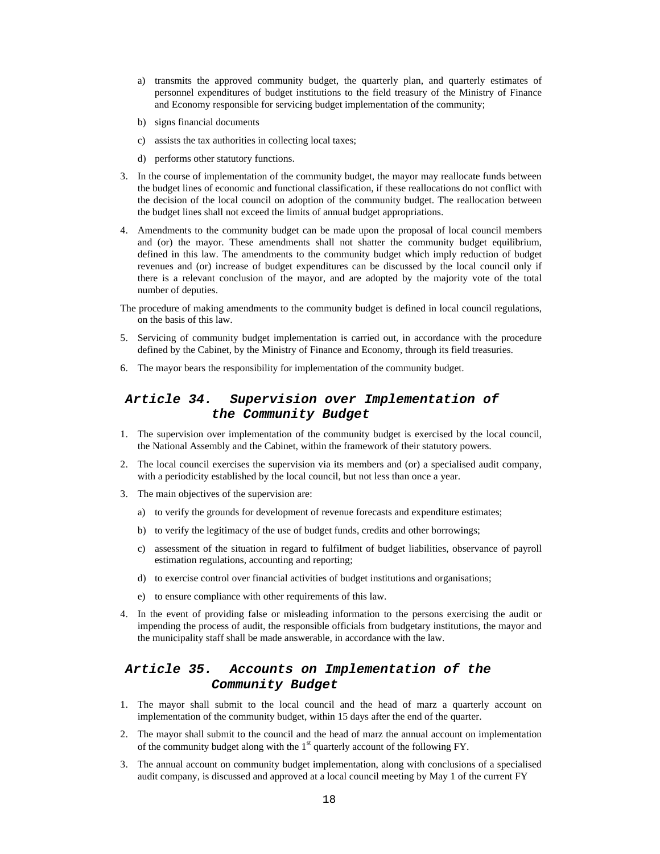- a) transmits the approved community budget, the quarterly plan, and quarterly estimates of personnel expenditures of budget institutions to the field treasury of the Ministry of Finance and Economy responsible for servicing budget implementation of the community;
- b) signs financial documents
- c) assists the tax authorities in collecting local taxes;
- d) performs other statutory functions.
- 3. In the course of implementation of the community budget, the mayor may reallocate funds between the budget lines of economic and functional classification, if these reallocations do not conflict with the decision of the local council on adoption of the community budget. The reallocation between the budget lines shall not exceed the limits of annual budget appropriations.
- 4. Amendments to the community budget can be made upon the proposal of local council members and (or) the mayor. These amendments shall not shatter the community budget equilibrium, defined in this law. The amendments to the community budget which imply reduction of budget revenues and (or) increase of budget expenditures can be discussed by the local council only if there is a relevant conclusion of the mayor, and are adopted by the majority vote of the total number of deputies.
- The procedure of making amendments to the community budget is defined in local council regulations, on the basis of this law.
- 5. Servicing of community budget implementation is carried out, in accordance with the procedure defined by the Cabinet, by the Ministry of Finance and Economy, through its field treasuries.
- 6. The mayor bears the responsibility for implementation of the community budget.

# *Article 34. Supervision over Implementation of the Community Budget*

- 1. The supervision over implementation of the community budget is exercised by the local council, the National Assembly and the Cabinet, within the framework of their statutory powers.
- 2. The local council exercises the supervision via its members and (or) a specialised audit company, with a periodicity established by the local council, but not less than once a year.
- 3. The main objectives of the supervision are:
	- a) to verify the grounds for development of revenue forecasts and expenditure estimates;
	- b) to verify the legitimacy of the use of budget funds, credits and other borrowings;
	- c) assessment of the situation in regard to fulfilment of budget liabilities, observance of payroll estimation regulations, accounting and reporting;
	- d) to exercise control over financial activities of budget institutions and organisations;
	- e) to ensure compliance with other requirements of this law.
- 4. In the event of providing false or misleading information to the persons exercising the audit or impending the process of audit, the responsible officials from budgetary institutions, the mayor and the municipality staff shall be made answerable, in accordance with the law.

## *Article 35. Accounts on Implementation of the Community Budget*

- 1. The mayor shall submit to the local council and the head of marz a quarterly account on implementation of the community budget, within 15 days after the end of the quarter.
- 2. The mayor shall submit to the council and the head of marz the annual account on implementation of the community budget along with the  $1<sup>st</sup>$  quarterly account of the following FY.
- 3. The annual account on community budget implementation, along with conclusions of a specialised audit company, is discussed and approved at a local council meeting by May 1 of the current FY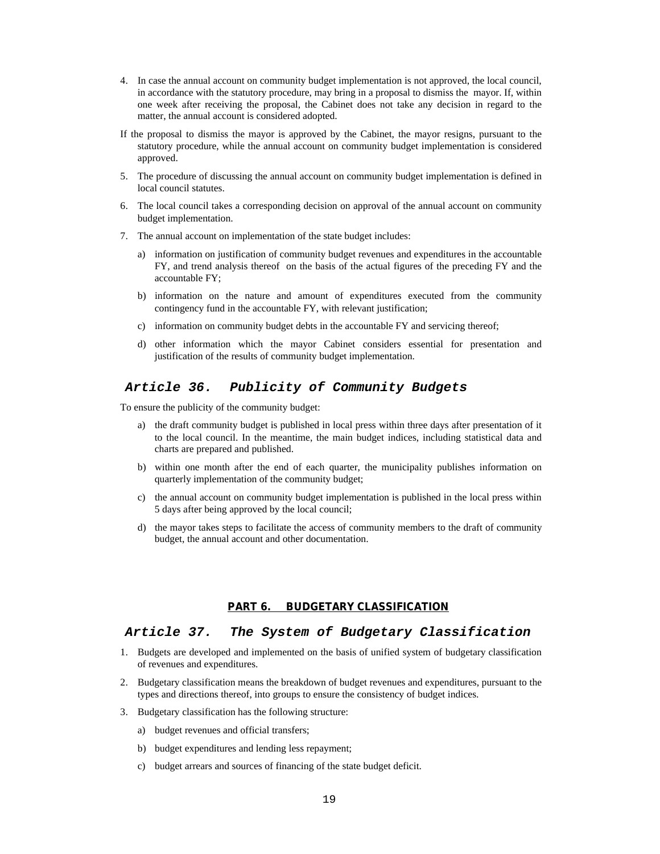- 4. In case the annual account on community budget implementation is not approved, the local council, in accordance with the statutory procedure, may bring in a proposal to dismiss the mayor. If, within one week after receiving the proposal, the Cabinet does not take any decision in regard to the matter, the annual account is considered adopted.
- If the proposal to dismiss the mayor is approved by the Cabinet, the mayor resigns, pursuant to the statutory procedure, while the annual account on community budget implementation is considered approved.
- 5. The procedure of discussing the annual account on community budget implementation is defined in local council statutes.
- 6. The local council takes a corresponding decision on approval of the annual account on community budget implementation.
- 7. The annual account on implementation of the state budget includes:
	- a) information on justification of community budget revenues and expenditures in the accountable FY, and trend analysis thereof on the basis of the actual figures of the preceding FY and the accountable FY;
	- b) information on the nature and amount of expenditures executed from the community contingency fund in the accountable FY, with relevant justification;
	- c) information on community budget debts in the accountable FY and servicing thereof;
	- d) other information which the mayor Cabinet considers essential for presentation and justification of the results of community budget implementation.

#### *Article 36. Publicity of Community Budgets*

To ensure the publicity of the community budget:

- a) the draft community budget is published in local press within three days after presentation of it to the local council. In the meantime, the main budget indices, including statistical data and charts are prepared and published.
- b) within one month after the end of each quarter, the municipality publishes information on quarterly implementation of the community budget;
- c) the annual account on community budget implementation is published in the local press within 5 days after being approved by the local council;
- d) the mayor takes steps to facilitate the access of community members to the draft of community budget, the annual account and other documentation.

#### **PART 6. BUDGETARY CLASSIFICATION**

#### *Article 37. The System of Budgetary Classification*

- 1. Budgets are developed and implemented on the basis of unified system of budgetary classification of revenues and expenditures.
- 2. Budgetary classification means the breakdown of budget revenues and expenditures, pursuant to the types and directions thereof, into groups to ensure the consistency of budget indices.
- 3. Budgetary classification has the following structure:
	- a) budget revenues and official transfers;
	- b) budget expenditures and lending less repayment;
	- c) budget arrears and sources of financing of the state budget deficit.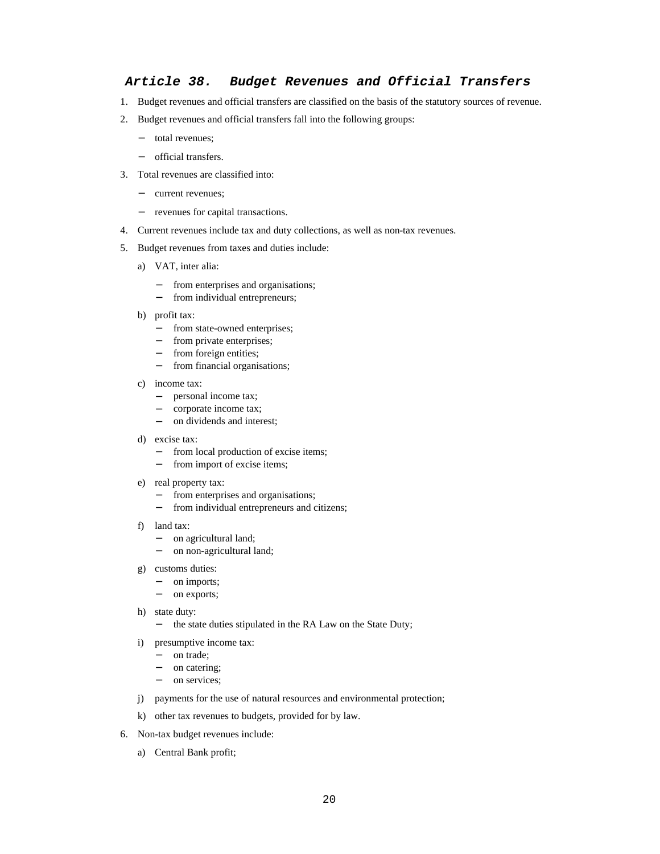#### *Article 38. Budget Revenues and Official Transfers*

- 1. Budget revenues and official transfers are classified on the basis of the statutory sources of revenue.
- 2. Budget revenues and official transfers fall into the following groups:
	- − total revenues;
	- − official transfers.
- 3. Total revenues are classified into:
	- − current revenues;
	- − revenues for capital transactions.
- 4. Current revenues include tax and duty collections, as well as non-tax revenues.
- 5. Budget revenues from taxes and duties include:
	- a) VAT, inter alia:
		- from enterprises and organisations;
		- − from individual entrepreneurs;
	- b) profit tax:
		- − from state-owned enterprises;
		- − from private enterprises;
		- − from foreign entities;
		- − from financial organisations;
	- c) income tax:
		- − personal income tax;
		- − corporate income tax;
		- − on dividends and interest;
	- d) excise tax:
		- − from local production of excise items;
		- − from import of excise items;
	- e) real property tax:
		- from enterprises and organisations;
		- − from individual entrepreneurs and citizens;
	- f) land tax:
		- − on agricultural land;
		- − on non-agricultural land;
	- g) customs duties:
		- − on imports;
		- − on exports;
	- h) state duty:
		- − the state duties stipulated in the RA Law on the State Duty;
	- i) presumptive income tax:
		- − on trade;
		- on catering;
		- − on services;
	- j) payments for the use of natural resources and environmental protection;
	- k) other tax revenues to budgets, provided for by law.
- 6. Non-tax budget revenues include:
	- a) Central Bank profit;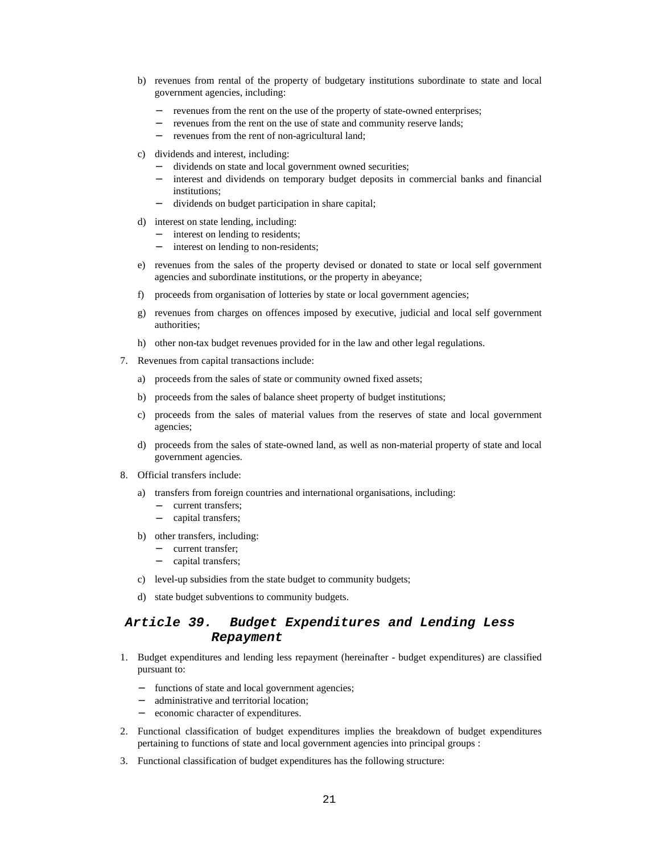- b) revenues from rental of the property of budgetary institutions subordinate to state and local government agencies, including:
	- revenues from the rent on the use of the property of state-owned enterprises;
	- revenues from the rent on the use of state and community reserve lands;
	- revenues from the rent of non-agricultural land;
- c) dividends and interest, including:
	- − dividends on state and local government owned securities;
	- interest and dividends on temporary budget deposits in commercial banks and financial institutions;
	- − dividends on budget participation in share capital;
- d) interest on state lending, including:
	- − interest on lending to residents;
	- − interest on lending to non-residents;
- e) revenues from the sales of the property devised or donated to state or local self government agencies and subordinate institutions, or the property in abeyance;
- f) proceeds from organisation of lotteries by state or local government agencies;
- g) revenues from charges on offences imposed by executive, judicial and local self government authorities;
- h) other non-tax budget revenues provided for in the law and other legal regulations.
- 7. Revenues from capital transactions include:
	- a) proceeds from the sales of state or community owned fixed assets;
	- b) proceeds from the sales of balance sheet property of budget institutions;
	- c) proceeds from the sales of material values from the reserves of state and local government agencies;
	- d) proceeds from the sales of state-owned land, as well as non-material property of state and local government agencies.
- 8. Official transfers include:
	- a) transfers from foreign countries and international organisations, including:
		- current transfers;
		- − capital transfers;
	- b) other transfers, including:
		- − current transfer;
		- − capital transfers;
	- c) level-up subsidies from the state budget to community budgets;
	- d) state budget subventions to community budgets.

### *Article 39. Budget Expenditures and Lending Less Repayment*

- 1. Budget expenditures and lending less repayment (hereinafter budget expenditures) are classified pursuant to:
	- functions of state and local government agencies;
	- administrative and territorial location;
	- economic character of expenditures.
- 2. Functional classification of budget expenditures implies the breakdown of budget expenditures pertaining to functions of state and local government agencies into principal groups :
- 3. Functional classification of budget expenditures has the following structure: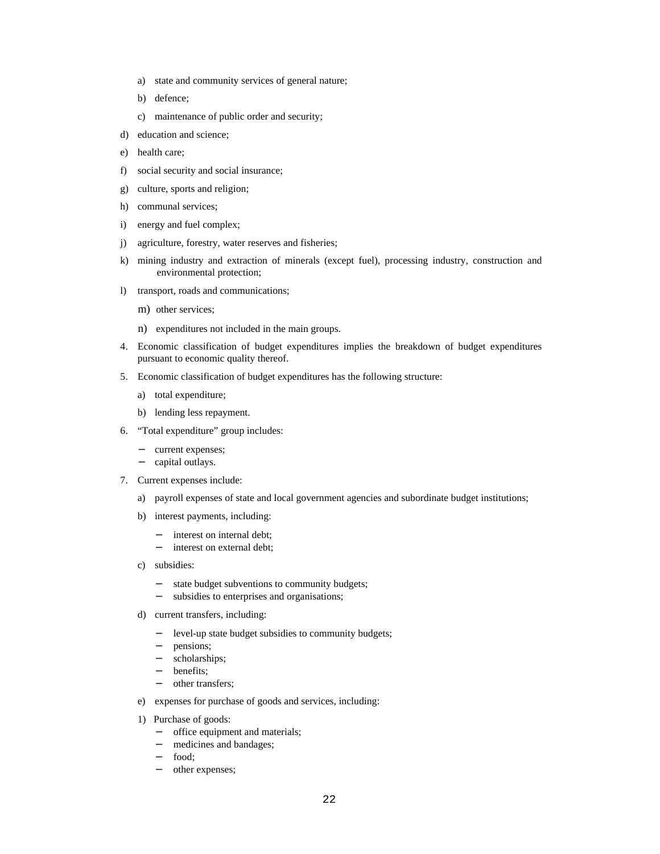- a) state and community services of general nature;
- b) defence;
- c) maintenance of public order and security;
- d) education and science;
- e) health care;
- f) social security and social insurance;
- g) culture, sports and religion;
- h) communal services;
- i) energy and fuel complex;
- j) agriculture, forestry, water reserves and fisheries;
- k) mining industry and extraction of minerals (except fuel), processing industry, construction and environmental protection;
- l) transport, roads and communications;
	- m) other services;
	- n) expenditures not included in the main groups.
- 4. Economic classification of budget expenditures implies the breakdown of budget expenditures pursuant to economic quality thereof.
- 5. Economic classification of budget expenditures has the following structure:
	- a) total expenditure;
	- b) lending less repayment.
- 6. "Total expenditure" group includes:
	- current expenses;
	- − capital outlays.
- 7. Current expenses include:
	- a) payroll expenses of state and local government agencies and subordinate budget institutions;
	- b) interest payments, including:
		- interest on internal debt;
		- − interest on external debt;
	- c) subsidies:
		- − state budget subventions to community budgets;
		- − subsidies to enterprises and organisations;
	- d) current transfers, including:
		- level-up state budget subsidies to community budgets;
		- pensions;
		- − scholarships;
		- − benefits;
		- other transfers;
	- e) expenses for purchase of goods and services, including:
	- 1) Purchase of goods:
		- − office equipment and materials;
		- − medicines and bandages;
		- food;
		- other expenses;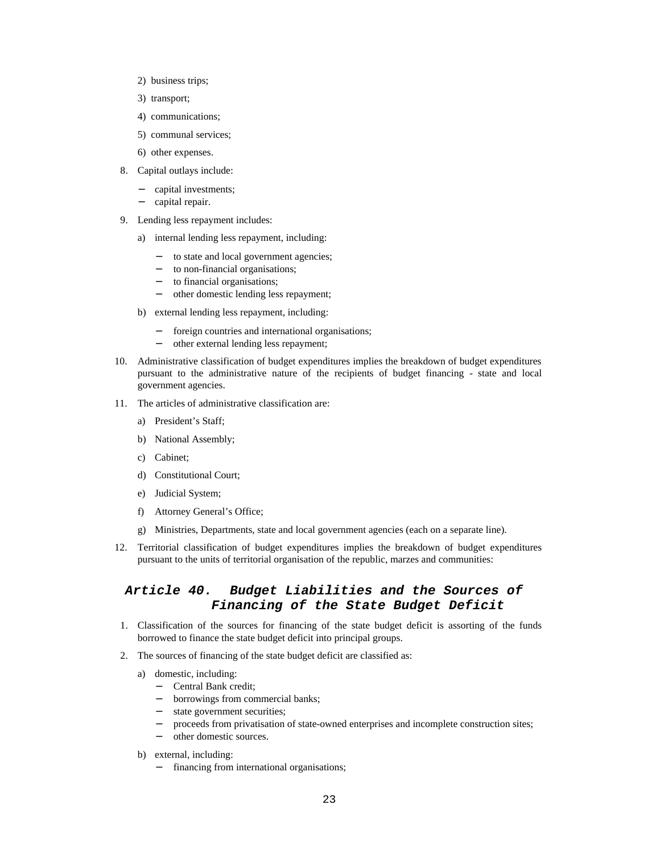- 2) business trips;
- 3) transport;
- 4) communications;
- 5) communal services;
- 6) other expenses.
- 8. Capital outlays include:
	- capital investments;
	- − capital repair.
- 9. Lending less repayment includes:
	- a) internal lending less repayment, including:
		- to state and local government agencies;
		- − to non-financial organisations;
		- − to financial organisations;
		- − other domestic lending less repayment;
	- b) external lending less repayment, including:
		- foreign countries and international organisations;
		- − other external lending less repayment;
- 10. Administrative classification of budget expenditures implies the breakdown of budget expenditures pursuant to the administrative nature of the recipients of budget financing - state and local government agencies.
- 11. The articles of administrative classification are:
	- a) President's Staff;
	- b) National Assembly;
	- c) Cabinet;
	- d) Constitutional Court;
	- e) Judicial System;
	- f) Attorney General's Office;
	- g) Ministries, Departments, state and local government agencies (each on a separate line).
- 12. Territorial classification of budget expenditures implies the breakdown of budget expenditures pursuant to the units of territorial organisation of the republic, marzes and communities:

# *Article 40. Budget Liabilities and the Sources of Financing of the State Budget Deficit*

- 1. Classification of the sources for financing of the state budget deficit is assorting of the funds borrowed to finance the state budget deficit into principal groups.
- 2. The sources of financing of the state budget deficit are classified as:
	- a) domestic, including:
		- − Central Bank credit;
		- borrowings from commercial banks;
		- state government securities;
		- proceeds from privatisation of state-owned enterprises and incomplete construction sites;
		- other domestic sources.
	- b) external, including:
		- financing from international organisations;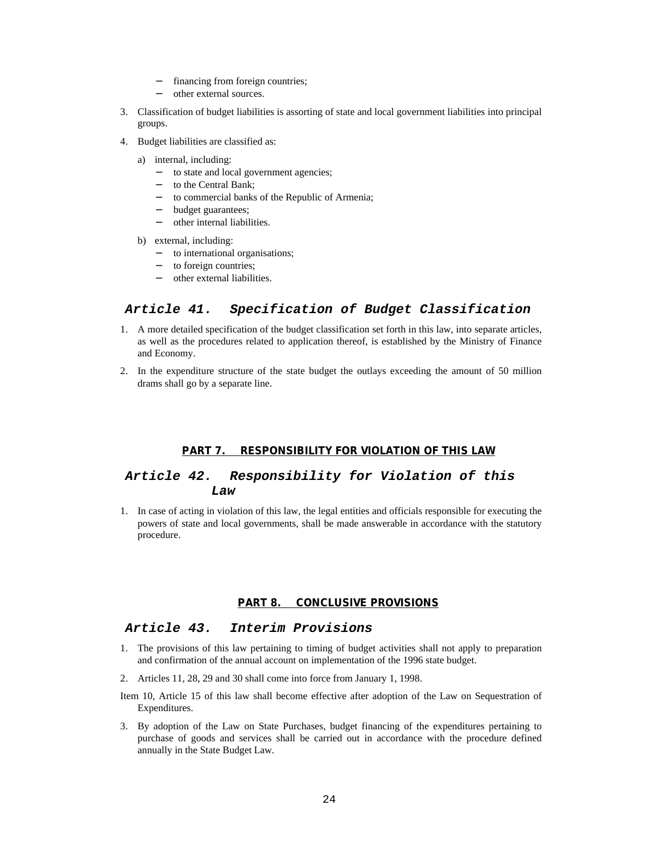- − financing from foreign countries;
- − other external sources.
- 3. Classification of budget liabilities is assorting of state and local government liabilities into principal groups.
- 4. Budget liabilities are classified as:
	- a) internal, including:
		- − to state and local government agencies;
		- to the Central Bank;
		- to commercial banks of the Republic of Armenia;
		- budget guarantees;
		- − other internal liabilities.
	- b) external, including:
		- − to international organisations;
		- − to foreign countries;
		- − other external liabilities.

# *Article 41. Specification of Budget Classification*

- 1. A more detailed specification of the budget classification set forth in this law, into separate articles, as well as the procedures related to application thereof, is established by the Ministry of Finance and Economy.
- 2. In the expenditure structure of the state budget the outlays exceeding the amount of 50 million drams shall go by a separate line.

#### **PART 7. RESPONSIBILITY FOR VIOLATION OF THIS LAW**

# *Article 42. Responsibility for Violation of this Law*

1. In case of acting in violation of this law, the legal entities and officials responsible for executing the powers of state and local governments, shall be made answerable in accordance with the statutory procedure.

#### **PART 8. CONCLUSIVE PROVISIONS**

## *Article 43. Interim Provisions*

- 1. The provisions of this law pertaining to timing of budget activities shall not apply to preparation and confirmation of the annual account on implementation of the 1996 state budget.
- 2. Articles 11, 28, 29 and 30 shall come into force from January 1, 1998.
- Item 10, Article 15 of this law shall become effective after adoption of the Law on Sequestration of Expenditures.
- 3. By adoption of the Law on State Purchases, budget financing of the expenditures pertaining to purchase of goods and services shall be carried out in accordance with the procedure defined annually in the State Budget Law.